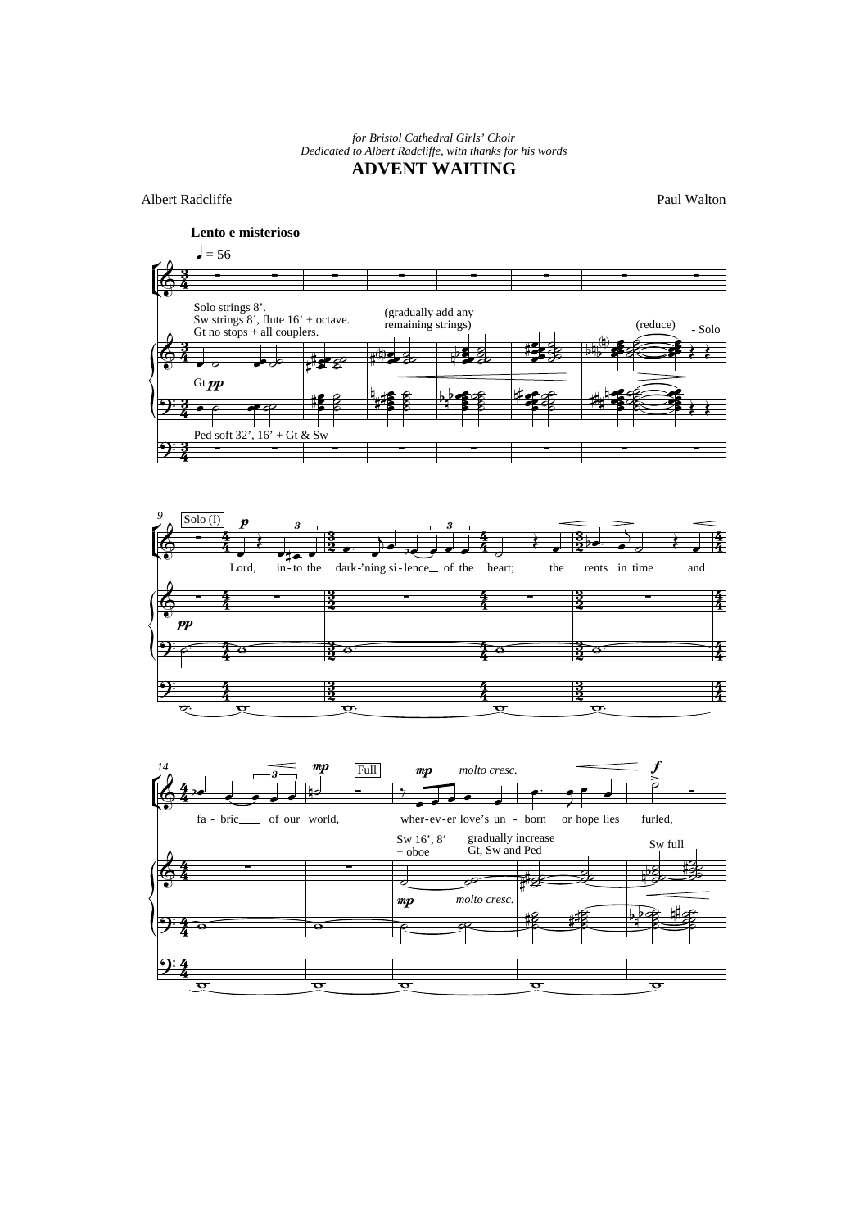*for Bristol Cathedral Girls' Choir Dedicated to Albert Radcliffe, with thanks for his words*

## **ADVENT WAITING**

Albert Radcliffe

Paul Walton